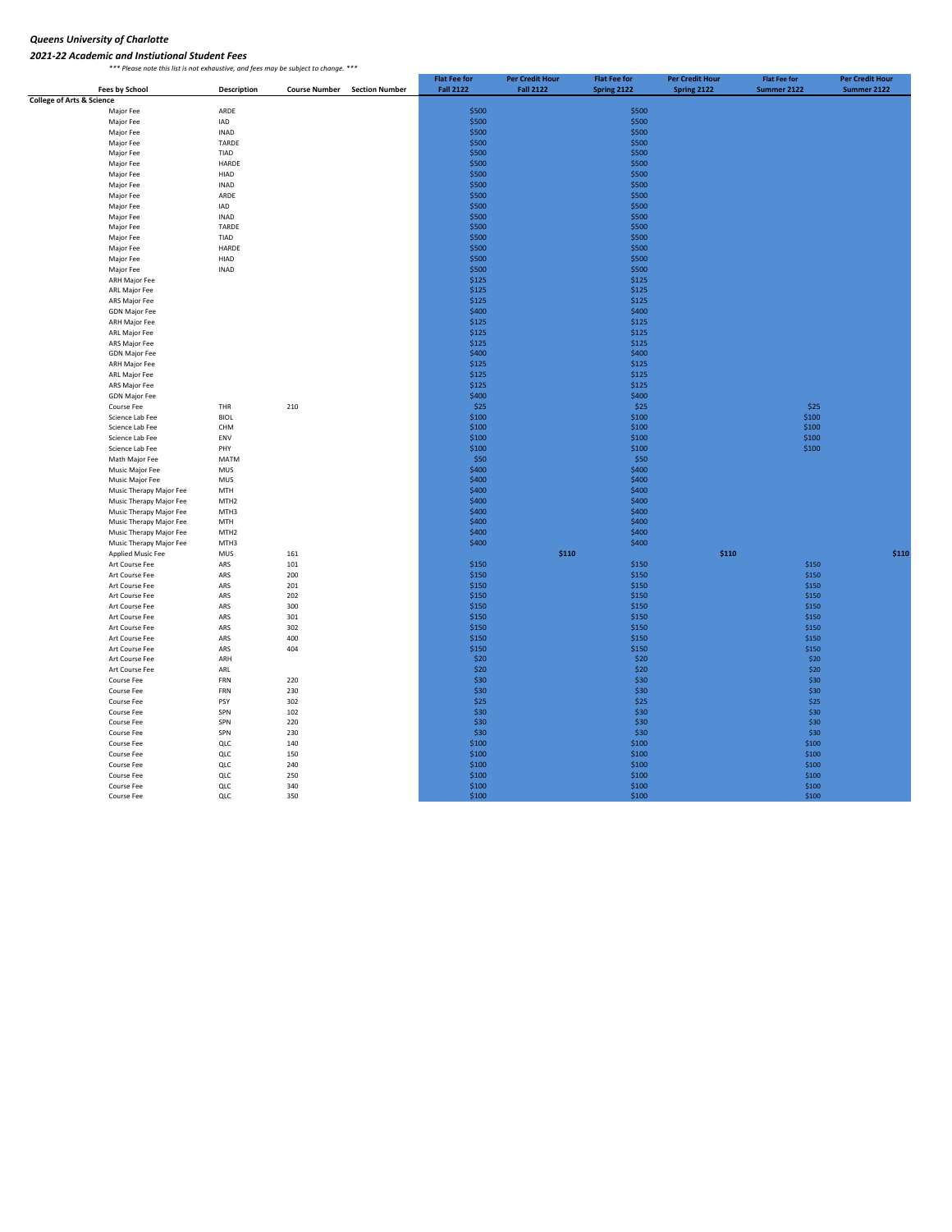## *Queens University of Charlotte*

*2021‐22 Academic and Instiutional Student Fees \*\*\* Please note this list is not exhaustive, and fees may be subject to change. \*\*\**

|                                                           |                                  | ……, …… ,…… ……,   | <i><b>Publics</b></i> |                       | <b>Flat Fee for</b> | <b>Per Credit Hour</b> | <b>Flat Fee for</b> | <b>Per Credit Hour</b> | <b>Flat Fee for</b> | <b>Per Credit Hour</b> |
|-----------------------------------------------------------|----------------------------------|------------------|-----------------------|-----------------------|---------------------|------------------------|---------------------|------------------------|---------------------|------------------------|
|                                                           | <b>Fees by School</b>            | Description      | <b>Course Number</b>  | <b>Section Number</b> | <b>Fall 2122</b>    | <b>Fall 2122</b>       | Spring 2122         | Spring 2122            | Summer 2122         | Summer 2122            |
| <b>College of Arts &amp; Science</b><br>Major Fee<br>ARDE |                                  |                  |                       |                       | \$500               |                        | \$500               |                        |                     |                        |
|                                                           | Major Fee                        | IAD              |                       |                       | \$500               |                        | \$500               |                        |                     |                        |
|                                                           | Major Fee                        | <b>INAD</b>      |                       |                       | \$500               |                        | \$500               |                        |                     |                        |
|                                                           | Major Fee                        | TARDE            |                       |                       | \$500               |                        | \$500               |                        |                     |                        |
|                                                           | Major Fee                        | TIAD             |                       |                       | \$500               |                        | \$500               |                        |                     |                        |
|                                                           | Major Fee                        | HARDE            |                       |                       | \$500               |                        | \$500               |                        |                     |                        |
|                                                           | Major Fee                        | HIAD             |                       |                       | \$500               |                        | \$500               |                        |                     |                        |
|                                                           | Major Fee                        | <b>INAD</b>      |                       |                       | \$500               |                        | \$500               |                        |                     |                        |
|                                                           | Major Fee                        | ARDE             |                       |                       | \$500               |                        | \$500               |                        |                     |                        |
|                                                           | Major Fee                        | IAD              |                       |                       | \$500               |                        | \$500               |                        |                     |                        |
|                                                           | Major Fee                        | <b>INAD</b>      |                       |                       | \$500               |                        | \$500               |                        |                     |                        |
|                                                           | Major Fee                        | TARDE            |                       |                       | \$500               |                        | \$500               |                        |                     |                        |
|                                                           | Major Fee                        | TIAD             |                       |                       | \$500               |                        | \$500               |                        |                     |                        |
|                                                           | Major Fee                        | HARDE            |                       |                       | \$500               |                        | \$500               |                        |                     |                        |
|                                                           | Major Fee                        | HIAD             |                       |                       | \$500               |                        | \$500               |                        |                     |                        |
|                                                           | Major Fee                        | <b>INAD</b>      |                       |                       | \$500               |                        | \$500               |                        |                     |                        |
|                                                           | <b>ARH Major Fee</b>             |                  |                       |                       | \$125               |                        | \$125               |                        |                     |                        |
|                                                           | ARL Major Fee                    |                  |                       |                       | \$125               |                        | \$125               |                        |                     |                        |
|                                                           | ARS Major Fee                    |                  |                       |                       | \$125               |                        | \$125               |                        |                     |                        |
|                                                           | <b>GDN Major Fee</b>             |                  |                       |                       | \$400               |                        | \$400               |                        |                     |                        |
|                                                           | ARH Major Fee                    |                  |                       |                       | \$125               |                        | \$125               |                        |                     |                        |
|                                                           | ARL Major Fee                    |                  |                       |                       | \$125               |                        | \$125               |                        |                     |                        |
|                                                           | ARS Major Fee                    |                  |                       |                       | \$125               |                        | \$125               |                        |                     |                        |
|                                                           | <b>GDN Major Fee</b>             |                  |                       |                       | \$400               |                        | \$400               |                        |                     |                        |
|                                                           | ARH Major Fee                    |                  |                       |                       | \$125               |                        | \$125               |                        |                     |                        |
|                                                           | ARL Major Fee                    |                  |                       |                       | \$125               |                        | \$125               |                        |                     |                        |
|                                                           | ARS Major Fee                    |                  |                       |                       | \$125               |                        | \$125               |                        |                     |                        |
|                                                           | <b>GDN Major Fee</b>             |                  |                       |                       | \$400               |                        | \$400               |                        |                     |                        |
|                                                           | Course Fee                       | THR              | 210                   |                       | \$25                |                        | \$25                |                        | \$25                |                        |
|                                                           | Science Lab Fee                  | <b>BIOL</b>      |                       |                       | \$100               |                        | \$100               |                        | \$100               |                        |
|                                                           | Science Lab Fee                  | CHM              |                       |                       | \$100               |                        | \$100               |                        | \$100               |                        |
|                                                           | Science Lab Fee                  | ENV              |                       |                       | \$100               |                        | \$100               |                        | \$100               |                        |
|                                                           | Science Lab Fee                  | PHY              |                       |                       | \$100               |                        | \$100               |                        | \$100               |                        |
|                                                           | Math Major Fee                   | MATM             |                       |                       | \$50                |                        | \$50                |                        |                     |                        |
|                                                           | Music Major Fee                  | MUS              |                       |                       | \$400               |                        | \$400               |                        |                     |                        |
|                                                           | Music Major Fee                  | MUS              |                       |                       | \$400               |                        | \$400               |                        |                     |                        |
|                                                           | Music Therapy Major Fee          | MTH              |                       |                       | \$400               |                        | \$400               |                        |                     |                        |
|                                                           | Music Therapy Major Fee          | MTH <sub>2</sub> |                       |                       | \$400               |                        | \$400               |                        |                     |                        |
|                                                           | Music Therapy Major Fee          | MTH3             |                       |                       | \$400               |                        | \$400               |                        |                     |                        |
|                                                           | Music Therapy Major Fee          | MTH              |                       |                       | \$400               |                        | \$400               |                        |                     |                        |
|                                                           | Music Therapy Major Fee          | MTH <sub>2</sub> |                       |                       | \$400               |                        | \$400               |                        |                     |                        |
|                                                           | Music Therapy Major Fee          | MTH3             |                       |                       | \$400               |                        | \$400               |                        |                     |                        |
|                                                           | <b>Applied Music Fee</b>         | MUS              | 161                   |                       |                     | \$110                  |                     | \$110                  |                     | \$110                  |
|                                                           | Art Course Fee                   | ARS              | 101                   |                       | \$150               |                        | \$150               |                        | \$150               |                        |
|                                                           | Art Course Fee                   | ARS              | 200                   |                       | \$150               |                        | \$150               |                        | \$150               |                        |
|                                                           | Art Course Fee                   | ARS              | 201                   |                       | \$150               |                        | \$150               |                        | \$150               |                        |
|                                                           | Art Course Fee                   | ARS              | 202                   |                       | \$150<br>\$150      |                        | \$150<br>\$150      |                        | \$150               |                        |
|                                                           | Art Course Fee                   | ARS              | 300                   |                       | \$150               |                        | \$150               |                        | \$150               |                        |
|                                                           | Art Course Fee<br>Art Course Fee | ARS<br>ARS       | 301<br>302            |                       | \$150               |                        | \$150               |                        | \$150<br>\$150      |                        |
|                                                           |                                  |                  |                       |                       | \$150               |                        | \$150               |                        | \$150               |                        |
|                                                           | Art Course Fee<br>Art Course Fee | ARS<br>ARS       | 400<br>404            |                       | \$150               |                        | \$150               |                        | \$150               |                        |
|                                                           | Art Course Fee                   | ARH              |                       |                       | \$20                |                        | \$20                |                        | \$20                |                        |
|                                                           | Art Course Fee                   | ARL              |                       |                       | \$20                |                        | \$20                |                        | \$20                |                        |
|                                                           | Course Fee                       | FRN              | 220                   |                       | \$30                |                        | \$30                |                        | \$30                |                        |
|                                                           | Course Fee                       | FRN              | 230                   |                       | \$30                |                        | \$30                |                        | \$30                |                        |
|                                                           | Course Fee                       | PSY              | 302                   |                       | \$25                |                        | \$25                |                        | \$25                |                        |
|                                                           | Course Fee                       | SPN              | 102                   |                       | \$30                |                        | \$30                |                        | \$30                |                        |
|                                                           | Course Fee                       | SPN              | 220                   |                       | \$30                |                        | \$30                |                        | \$30                |                        |
|                                                           | Course Fee                       | SPN              | 230                   |                       | \$30                |                        | \$30                |                        | \$30                |                        |
|                                                           | Course Fee                       | QLC              | 140                   |                       | \$100               |                        | \$100               |                        | \$100               |                        |
|                                                           | Course Fee                       | QLC              | 150                   |                       | \$100               |                        | \$100               |                        | \$100               |                        |
|                                                           | Course Fee                       | QLC              | 240                   |                       | \$100               |                        | \$100               |                        | \$100               |                        |
|                                                           | Course Fee                       | QLC              | 250                   |                       | \$100               |                        | \$100               |                        | \$100               |                        |
|                                                           | Course Fee                       | QLC              | 340                   |                       | \$100               |                        | \$100               |                        | \$100               |                        |
|                                                           | Course Fee                       | QLC              | 350                   |                       | \$100               |                        | \$100               |                        | \$100               |                        |
|                                                           |                                  |                  |                       |                       |                     |                        |                     |                        |                     |                        |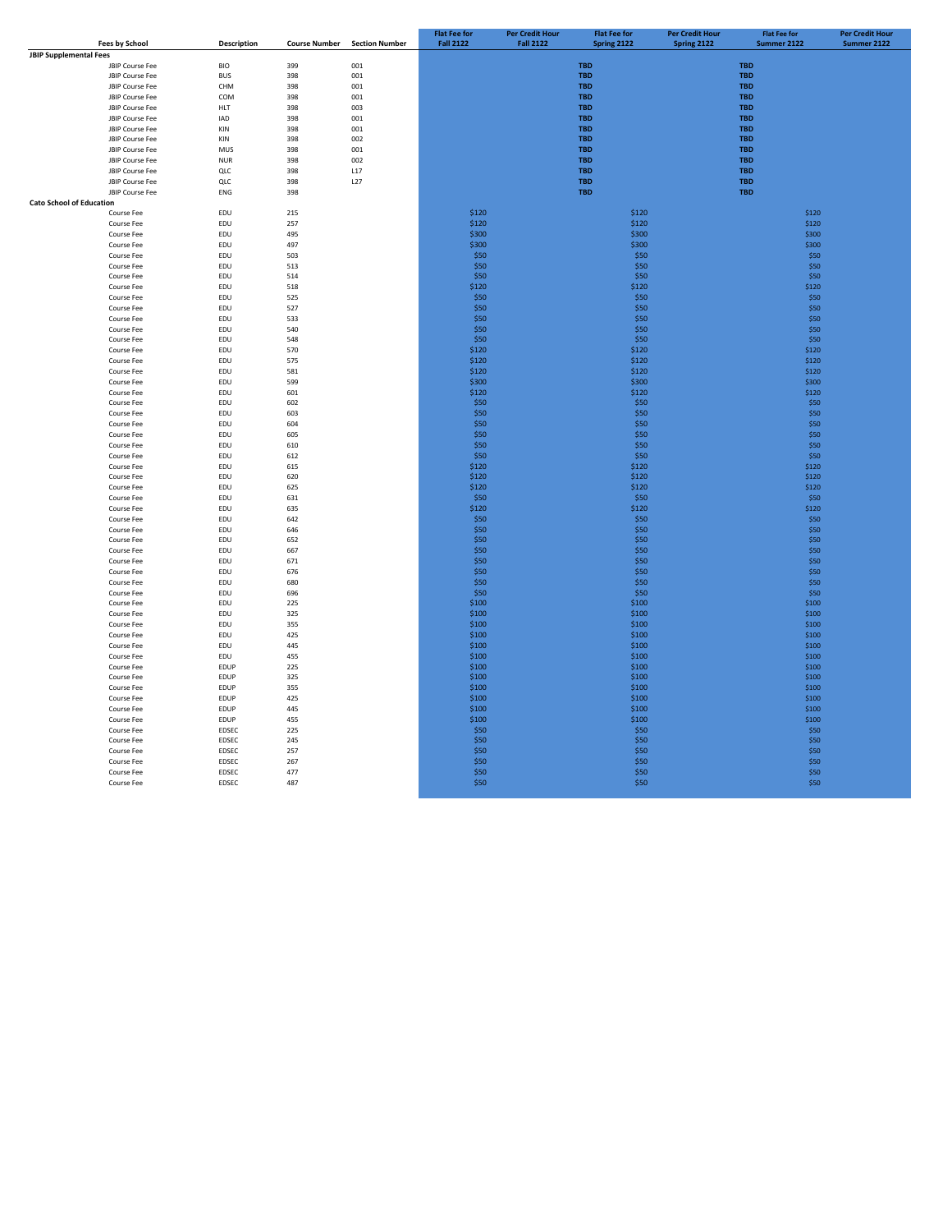|                                 |                       |             |                      |                       | <b>Flat Fee for</b> | <b>Per Credit Hour</b> | <b>Flat Fee for</b> | <b>Per Credit Hour</b> | <b>Flat Fee for</b> | <b>Per Credit Hour</b> |
|---------------------------------|-----------------------|-------------|----------------------|-----------------------|---------------------|------------------------|---------------------|------------------------|---------------------|------------------------|
|                                 | <b>Fees by School</b> | Description | <b>Course Number</b> | <b>Section Number</b> | <b>Fall 2122</b>    | <b>Fall 2122</b>       | Spring 2122         | Spring 2122            | Summer 2122         | Summer 2122            |
| <b>JBIP Supplemental Fees</b>   |                       |             |                      |                       |                     |                        |                     |                        |                     |                        |
|                                 | JBIP Course Fee       | <b>BIO</b>  | 399                  | 001                   |                     |                        | <b>TBD</b>          |                        | <b>TBD</b>          |                        |
|                                 | JBIP Course Fee       | <b>BUS</b>  | 398                  | 001                   |                     |                        | <b>TBD</b>          |                        | <b>TBD</b>          |                        |
|                                 | JBIP Course Fee       | CHM         | 398                  | 001                   |                     |                        | <b>TBD</b>          |                        | <b>TBD</b>          |                        |
|                                 | JBIP Course Fee       | COM         | 398                  | 001                   |                     |                        | <b>TBD</b>          |                        | <b>TBD</b>          |                        |
|                                 | JBIP Course Fee       | <b>HLT</b>  | 398                  | 003                   |                     |                        | <b>TBD</b>          |                        | <b>TBD</b>          |                        |
|                                 | JBIP Course Fee       | IAD         | 398                  | 001                   |                     |                        | <b>TBD</b>          |                        | <b>TBD</b>          |                        |
|                                 | JBIP Course Fee       | KIN         | 398                  | 001                   |                     |                        | <b>TBD</b>          |                        | <b>TBD</b>          |                        |
|                                 | JBIP Course Fee       | KIN         | 398                  | 002                   |                     |                        | <b>TBD</b>          |                        | <b>TBD</b>          |                        |
|                                 | JBIP Course Fee       | MUS         | 398                  | 001                   |                     |                        | <b>TBD</b>          |                        | <b>TBD</b>          |                        |
|                                 | JBIP Course Fee       | <b>NUR</b>  | 398                  | 002                   |                     |                        | <b>TBD</b>          |                        | <b>TBD</b>          |                        |
|                                 | JBIP Course Fee       | QLC         | 398                  | L17                   |                     |                        | <b>TBD</b>          |                        | <b>TBD</b>          |                        |
|                                 | JBIP Course Fee       | QLC         | 398                  | L27                   |                     |                        | <b>TBD</b>          |                        | <b>TBD</b>          |                        |
|                                 | JBIP Course Fee       | ENG         | 398                  |                       |                     |                        | <b>TBD</b>          |                        | <b>TBD</b>          |                        |
| <b>Cato School of Education</b> |                       |             |                      |                       |                     |                        |                     |                        |                     |                        |
|                                 | Course Fee            | EDU         | 215                  |                       | \$120               |                        | \$120               |                        | \$120               |                        |
|                                 | Course Fee            | EDU         | 257                  |                       | \$120               |                        | \$120               |                        | \$120               |                        |
|                                 | Course Fee            | EDU         | 495                  |                       | \$300               |                        | \$300               |                        | \$300               |                        |
|                                 | Course Fee            | EDU         | 497                  |                       | \$300               |                        | \$300               |                        | \$300               |                        |
|                                 | Course Fee            | EDU         | 503                  |                       | \$50                |                        | \$50                |                        | \$50                |                        |
|                                 | Course Fee            | EDU         | 513                  |                       | \$50                |                        | \$50                |                        | \$50                |                        |
|                                 | Course Fee            | EDU         | 514                  |                       | \$50                |                        | \$50                |                        | \$50                |                        |
|                                 | Course Fee            | EDU         | 518                  |                       | \$120               |                        | \$120               |                        | \$120               |                        |
|                                 | Course Fee            | EDU         | 525                  |                       | \$50                |                        | \$50                |                        | \$50                |                        |
|                                 | Course Fee            | EDU         | 527                  |                       | \$50                |                        | \$50                |                        | \$50                |                        |
|                                 | Course Fee            | EDU         | 533                  |                       | \$50                |                        | \$50                |                        | \$50                |                        |
|                                 | Course Fee            | <b>FDU</b>  | 540                  |                       | \$50                |                        | \$50                |                        | \$50                |                        |
|                                 | Course Fee            | EDU         | 548                  |                       | \$50                |                        | \$50                |                        | \$50                |                        |
|                                 | Course Fee            | EDU         | 570                  |                       | \$120               |                        | \$120               |                        | \$120               |                        |
|                                 | Course Fee            | EDU         | 575                  |                       | \$120               |                        | \$120               |                        | \$120               |                        |
|                                 | Course Fee            | EDU         | 581                  |                       | \$120               |                        | \$120               |                        | \$120               |                        |
|                                 | Course Fee            | EDU         | 599                  |                       | \$300               |                        | \$300               |                        | \$300               |                        |
|                                 | Course Fee            | EDU         | 601                  |                       | \$120               |                        | \$120               |                        | \$120               |                        |
|                                 | Course Fee            | EDU         | 602                  |                       | \$50                |                        | \$50                |                        | \$50                |                        |
|                                 | Course Fee            | EDU         | 603                  |                       | \$50                |                        | \$50                |                        | \$50                |                        |
|                                 | Course Fee            | EDU         | 604                  |                       | \$50                |                        | \$50                |                        | \$50                |                        |
|                                 | Course Fee            | EDU         | 605                  |                       | \$50                |                        | \$50                |                        | \$50                |                        |
|                                 | Course Fee            | EDU         | 610                  |                       | \$50                |                        | \$50                |                        | \$50                |                        |
|                                 | Course Fee            | EDU         | 612                  |                       | \$50                |                        | \$50                |                        | \$50                |                        |
|                                 | Course Fee            | EDU         | 615                  |                       | \$120               |                        | \$120               |                        | \$120               |                        |
|                                 | Course Fee            | EDU         | 620                  |                       | \$120               |                        | \$120               |                        | \$120               |                        |
|                                 | Course Fee            | EDU         | 625                  |                       | \$120               |                        | \$120               |                        | \$120               |                        |
|                                 | Course Fee            | EDU         | 631                  |                       | \$50                |                        | \$50                |                        | \$50                |                        |
|                                 | Course Fee            | EDU         | 635                  |                       | \$120               |                        | \$120               |                        | \$120               |                        |
|                                 | Course Fee            | EDU         | 642                  |                       | \$50                |                        | \$50                |                        | \$50                |                        |
|                                 | Course Fee            | EDU         | 646                  |                       | \$50                |                        | \$50                |                        | \$50                |                        |
|                                 | Course Fee            | EDU         | 652                  |                       | \$50                |                        | \$50                |                        | \$50                |                        |
|                                 | Course Fee            | EDU         | 667                  |                       | \$50                |                        | \$50                |                        | \$50                |                        |
|                                 | Course Fee            | EDU         | 671                  |                       | \$50                |                        | \$50                |                        | \$50                |                        |
|                                 | Course Fee            | EDU         | 676                  |                       | \$50                |                        | \$50                |                        | \$50                |                        |
|                                 | Course Fee            | EDU         | 680                  |                       | \$50                |                        | \$50                |                        | \$50                |                        |
|                                 | Course Fee            | EDU         | 696                  |                       | \$50                |                        | \$50                |                        | \$50                |                        |
|                                 | Course Fee            | EDU         | 225                  |                       | \$100               |                        | \$100               |                        | \$100               |                        |
|                                 | Course Fee            | EDU         | 325                  |                       | \$100               |                        | \$100               |                        | \$100               |                        |
|                                 | Course Fee            | EDU         | 355                  |                       | \$100               |                        | \$100               |                        | \$100               |                        |
|                                 | Course Fee            | EDU         | 425                  |                       | \$100               |                        | \$100               |                        | \$100               |                        |
|                                 | Course Fee            | EDU         | 445                  |                       | \$100               |                        | \$100               |                        | \$100               |                        |
|                                 | Course Fee            | EDU         | 455                  |                       | \$100               |                        | \$100               |                        | \$100               |                        |
|                                 | Course Fee            | EDUP        | 225                  |                       | \$100               |                        | \$100               |                        | \$100               |                        |
|                                 | Course Fee            | EDUP        | 325                  |                       | \$100               |                        | \$100               |                        | \$100               |                        |
|                                 | Course Fee            | EDUP        | 355                  |                       | \$100               |                        | \$100               |                        | \$100               |                        |
|                                 | Course Fee            | EDUP        | 425                  |                       | \$100               |                        | \$100               |                        | \$100               |                        |
|                                 | Course Fee            | EDUP        | 445                  |                       | \$100               |                        | \$100               |                        | \$100               |                        |
|                                 | Course Fee            | EDUP        | 455                  |                       | \$100               |                        | \$100               |                        | \$100               |                        |
|                                 | Course Fee            | EDSEC       | 225                  |                       | \$50                |                        | \$50                |                        | \$50                |                        |
|                                 | Course Fee            | EDSEC       | 245                  |                       | \$50                |                        | \$50                |                        | \$50                |                        |
|                                 | Course Fee            | EDSEC       | 257                  |                       | \$50                |                        | \$50                |                        | \$50                |                        |
|                                 | Course Fee            | EDSEC       | 267                  |                       | \$50                |                        | \$50                |                        | \$50                |                        |
|                                 | Course Fee            | EDSEC       | 477                  |                       | \$50                |                        | \$50                |                        | \$50                |                        |
|                                 | Course Fee            | EDSEC       | 487                  |                       | \$50                |                        | \$50                |                        | \$50                |                        |
|                                 |                       |             |                      |                       |                     |                        |                     |                        |                     |                        |
|                                 |                       |             |                      |                       |                     |                        |                     |                        |                     |                        |